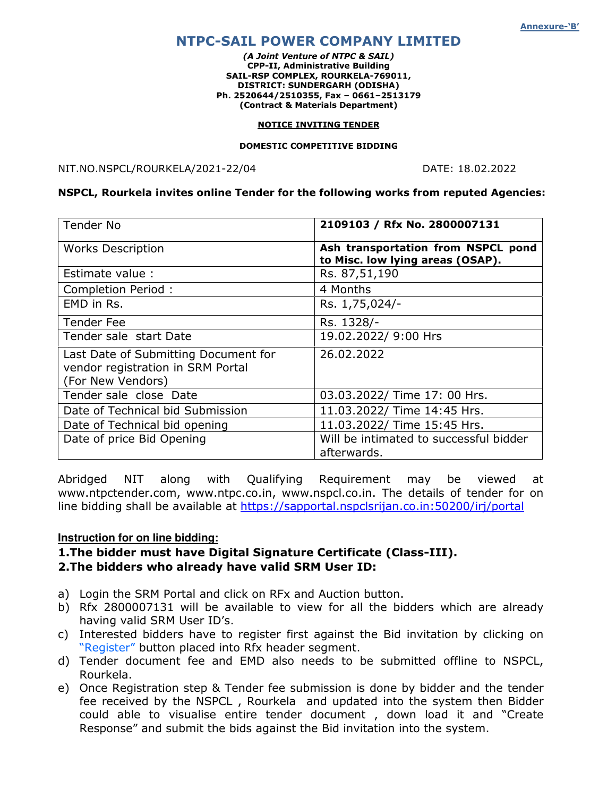# NTPC-SAIL POWER COMPANY LIMITED

(A Joint Venture of NTPC & SAIL) CPP-II, Administrative Building SAIL-RSP COMPLEX, ROURKELA-769011, DISTRICT: SUNDERGARH (ODISHA) Ph. 2520644/2510355, Fax – 0661–2513179 (Contract & Materials Department)

#### NOTICE INVITING TENDER

#### DOMESTIC COMPETITIVE BIDDING

NIT.NO.NSPCL/ROURKELA/2021-22/04 DATE: 18.02.2022

#### NSPCL, Rourkela invites online Tender for the following works from reputed Agencies:

| <b>Tender No</b>                                                                               | 2109103 / Rfx No. 2800007131                                           |
|------------------------------------------------------------------------------------------------|------------------------------------------------------------------------|
| <b>Works Description</b>                                                                       | Ash transportation from NSPCL pond<br>to Misc. low lying areas (OSAP). |
| Estimate value :                                                                               | Rs. 87,51,190                                                          |
| Completion Period:                                                                             | 4 Months                                                               |
| EMD in Rs.                                                                                     | Rs. 1,75,024/-                                                         |
| <b>Tender Fee</b>                                                                              | Rs. 1328/-                                                             |
| Tender sale start Date                                                                         | 19.02.2022/ 9:00 Hrs                                                   |
| Last Date of Submitting Document for<br>vendor registration in SRM Portal<br>(For New Vendors) | 26.02.2022                                                             |
| Tender sale close Date                                                                         | 03.03.2022/ Time 17: 00 Hrs.                                           |
| Date of Technical bid Submission                                                               | 11.03.2022/ Time 14:45 Hrs.                                            |
| Date of Technical bid opening                                                                  | 11.03.2022/ Time 15:45 Hrs.                                            |
| Date of price Bid Opening                                                                      | Will be intimated to successful bidder<br>afterwards.                  |

Abridged NIT along with Qualifying Requirement may be viewed at www.ntpctender.com, www.ntpc.co.in, www.nspcl.co.in. The details of tender for on line bidding shall be available at https://sapportal.nspclsrijan.co.in:50200/irj/portal

#### **Instruction for on line bidding:**

### 1.The bidder must have Digital Signature Certificate (Class-III). 2.The bidders who already have valid SRM User ID:

- a) Login the SRM Portal and click on RFx and Auction button.
- b) Rfx 2800007131 will be available to view for all the bidders which are already having valid SRM User ID's.
- c) Interested bidders have to register first against the Bid invitation by clicking on "Register" button placed into Rfx header segment.
- d) Tender document fee and EMD also needs to be submitted offline to NSPCL, Rourkela.
- e) Once Registration step & Tender fee submission is done by bidder and the tender fee received by the NSPCL , Rourkela and updated into the system then Bidder could able to visualise entire tender document , down load it and "Create Response" and submit the bids against the Bid invitation into the system.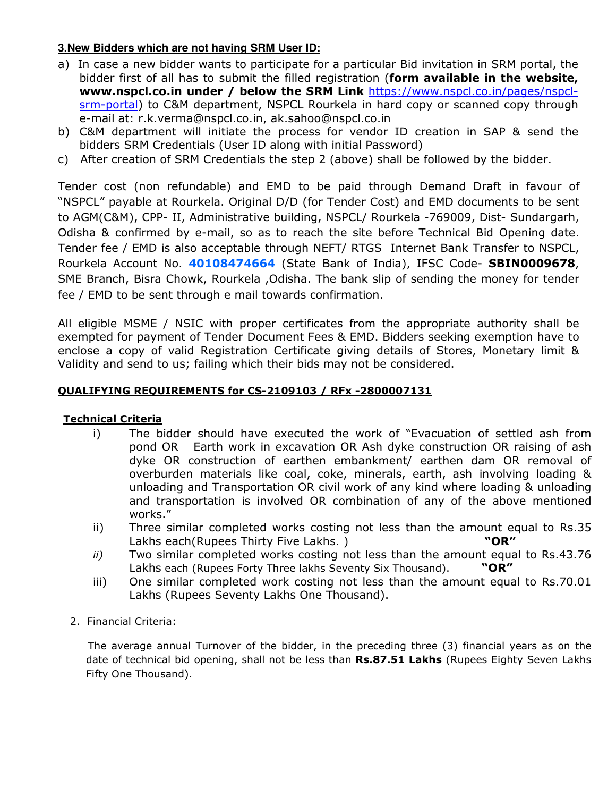# **3.New Bidders which are not having SRM User ID:**

- a) In case a new bidder wants to participate for a particular Bid invitation in SRM portal, the bidder first of all has to submit the filled registration (form available in the website, www.nspcl.co.in under / below the SRM Link https://www.nspcl.co.in/pages/nspclsrm-portal) to C&M department, NSPCL Rourkela in hard copy or scanned copy through e-mail at: r.k.verma@nspcl.co.in, ak.sahoo@nspcl.co.in
- b) C&M department will initiate the process for vendor ID creation in SAP & send the bidders SRM Credentials (User ID along with initial Password)
- c) After creation of SRM Credentials the step 2 (above) shall be followed by the bidder.

Tender cost (non refundable) and EMD to be paid through Demand Draft in favour of "NSPCL" payable at Rourkela. Original D/D (for Tender Cost) and EMD documents to be sent to AGM(C&M), CPP- II, Administrative building, NSPCL/ Rourkela -769009, Dist- Sundargarh, Odisha & confirmed by e-mail, so as to reach the site before Technical Bid Opening date. Tender fee / EMD is also acceptable through NEFT/ RTGS Internet Bank Transfer to NSPCL, Rourkela Account No. 40108474664 (State Bank of India), IFSC Code- SBIN0009678, SME Branch, Bisra Chowk, Rourkela ,Odisha. The bank slip of sending the money for tender fee / EMD to be sent through e mail towards confirmation.

All eligible MSME / NSIC with proper certificates from the appropriate authority shall be exempted for payment of Tender Document Fees & EMD. Bidders seeking exemption have to enclose a copy of valid Registration Certificate giving details of Stores, Monetary limit & Validity and send to us; failing which their bids may not be considered.

# QUALIFYING REQUIREMENTS for CS-2109103 / RFx -2800007131

# Technical Criteria

- i) The bidder should have executed the work of "Evacuation of settled ash from pond OR Earth work in excavation OR Ash dyke construction OR raising of ash dyke OR construction of earthen embankment/ earthen dam OR removal of overburden materials like coal, coke, minerals, earth, ash involving loading & unloading and Transportation OR civil work of any kind where loading & unloading and transportation is involved OR combination of any of the above mentioned works."
- ii) Three similar completed works costing not less than the amount equal to Rs.35 Lakhs each(Rupees Thirty Five Lakhs.) **"OR"**
- ii) Two similar completed works costing not less than the amount equal to Rs.43.76 Lakhs each (Rupees Forty Three lakhs Seventy Six Thousand). "OR"
- iii) One similar completed work costing not less than the amount equal to Rs.70.01 Lakhs (Rupees Seventy Lakhs One Thousand).
- 2. Financial Criteria:

 The average annual Turnover of the bidder, in the preceding three (3) financial years as on the date of technical bid opening, shall not be less than Rs.87.51 Lakhs (Rupees Eighty Seven Lakhs Fifty One Thousand).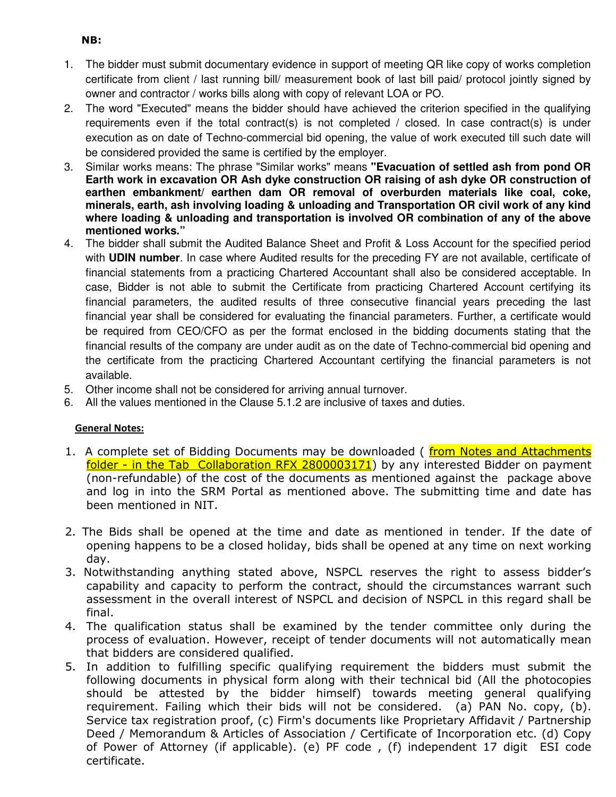- 1. The bidder must submit documentary evidence in support of meeting QR like copy of works completion certificate from client / last running bill/ measurement book of last bill paid/ protocol jointly signed by owner and contractor / works bills along with copy of relevant LOA or PO.
- 2. The word "Executed" means the bidder should have achieved the criterion specified in the qualifying requirements even if the total contract(s) is not completed / closed. In case contract(s) is under execution as on date of Techno-commercial bid opening, the value of work executed till such date will be considered provided the same is certified by the employer.
- 3. Similar works means: The phrase "Similar works" means **"Evacuation of settled ash from pond OR Earth work in excavation OR Ash dyke construction OR raising of ash dyke OR construction of earthen embankment/ earthen dam OR removal of overburden materials like coal, coke, minerals, earth, ash involving loading & unloading and Transportation OR civil work of any kind where loading & unloading and transportation is involved OR combination of any of the above mentioned works."**
- 4. The bidder shall submit the Audited Balance Sheet and Profit & Loss Account for the specified period with **UDIN number**. In case where Audited results for the preceding FY are not available, certificate of financial statements from a practicing Chartered Accountant shall also be considered acceptable. In case, Bidder is not able to submit the Certificate from practicing Chartered Account certifying its financial parameters, the audited results of three consecutive financial years preceding the last financial year shall be considered for evaluating the financial parameters. Further, a certificate would be required from CEO/CFO as per the format enclosed in the bidding documents stating that the financial results of the company are under audit as on the date of Techno-commercial bid opening and the certificate from the practicing Chartered Accountant certifying the financial parameters is not available.
- 5. Other income shall not be considered for arriving annual turnover.
- 6. All the values mentioned in the Clause 5.1.2 are inclusive of taxes and duties.

## General Notes:

- 1. A complete set of Bidding Documents may be downloaded (from Notes and Attachments folder - in the Tab Collaboration RFX 2800003171) by any interested Bidder on payment (non-refundable) of the cost of the documents as mentioned against the package above and log in into the SRM Portal as mentioned above. The submitting time and date has been mentioned in NIT.
- 2. The Bids shall be opened at the time and date as mentioned in tender. If the date of opening happens to be a closed holiday, bids shall be opened at any time on next working day.
- 3. Notwithstanding anything stated above, NSPCL reserves the right to assess bidder's capability and capacity to perform the contract, should the circumstances warrant such assessment in the overall interest of NSPCL and decision of NSPCL in this regard shall be final.
- 4. The qualification status shall be examined by the tender committee only during the process of evaluation. However, receipt of tender documents will not automatically mean that bidders are considered qualified.
- 5. In addition to fulfilling specific qualifying requirement the bidders must submit the following documents in physical form along with their technical bid (All the photocopies should be attested by the bidder himself) towards meeting general qualifying requirement. Failing which their bids will not be considered. (a) PAN No. copy, (b). Service tax registration proof, (c) Firm's documents like Proprietary Affidavit / Partnership Deed / Memorandum & Articles of Association / Certificate of Incorporation etc. (d) Copy of Power of Attorney (if applicable). (e) PF code , (f) independent 17 digit ESI code certificate.

## NB: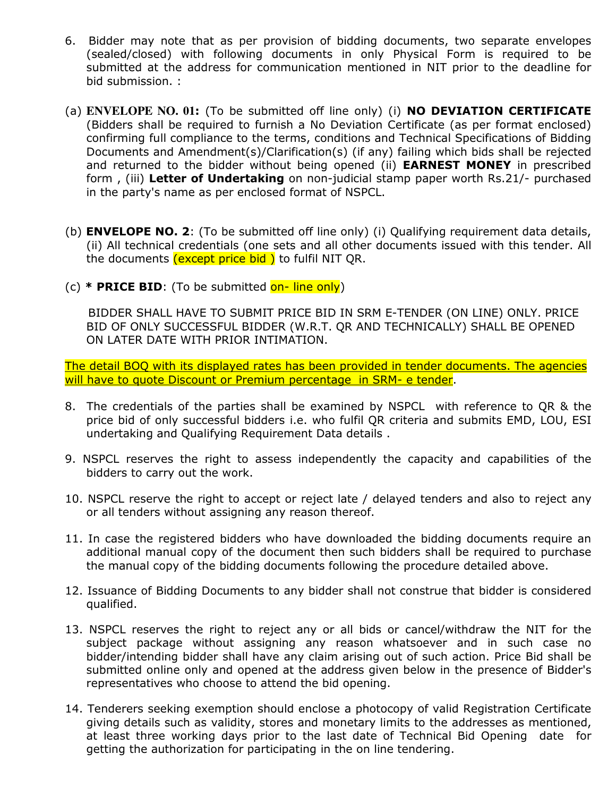- 6. Bidder may note that as per provision of bidding documents, two separate envelopes (sealed/closed) with following documents in only Physical Form is required to be submitted at the address for communication mentioned in NIT prior to the deadline for bid submission. :
- (a) **ENVELOPE NO. 01**: (To be submitted off line only) (i) NO DEVIATION CERTIFICATE (Bidders shall be required to furnish a No Deviation Certificate (as per format enclosed) confirming full compliance to the terms, conditions and Technical Specifications of Bidding Documents and Amendment(s)/Clarification(s) (if any) failing which bids shall be rejected and returned to the bidder without being opened (ii) **EARNEST MONEY** in prescribed form, (iii) Letter of Undertaking on non-judicial stamp paper worth Rs.21/- purchased in the party's name as per enclosed format of NSPCL.
- (b) **ENVELOPE NO. 2**: (To be submitted off line only) (i) Qualifying requirement data details, (ii) All technical credentials (one sets and all other documents issued with this tender. All the documents  $(except\ price\ bid\ )$  to fulfil NIT QR.
- (c)  $*$  **PRICE BID**: (To be submitted on- line only)

 BIDDER SHALL HAVE TO SUBMIT PRICE BID IN SRM E-TENDER (ON LINE) ONLY. PRICE BID OF ONLY SUCCESSFUL BIDDER (W.R.T. QR AND TECHNICALLY) SHALL BE OPENED ON LATER DATE WITH PRIOR INTIMATION.

The detail BOQ with its displayed rates has been provided in tender documents. The agencies will have to quote Discount or Premium percentage in SRM- e tender.

- 8. The credentials of the parties shall be examined by NSPCL with reference to QR & the price bid of only successful bidders i.e. who fulfil QR criteria and submits EMD, LOU, ESI undertaking and Qualifying Requirement Data details .
- 9. NSPCL reserves the right to assess independently the capacity and capabilities of the bidders to carry out the work.
- 10. NSPCL reserve the right to accept or reject late / delayed tenders and also to reject any or all tenders without assigning any reason thereof.
- 11. In case the registered bidders who have downloaded the bidding documents require an additional manual copy of the document then such bidders shall be required to purchase the manual copy of the bidding documents following the procedure detailed above.
- 12. Issuance of Bidding Documents to any bidder shall not construe that bidder is considered qualified.
- 13. NSPCL reserves the right to reject any or all bids or cancel/withdraw the NIT for the subject package without assigning any reason whatsoever and in such case no bidder/intending bidder shall have any claim arising out of such action. Price Bid shall be submitted online only and opened at the address given below in the presence of Bidder's representatives who choose to attend the bid opening.
- 14. Tenderers seeking exemption should enclose a photocopy of valid Registration Certificate giving details such as validity, stores and monetary limits to the addresses as mentioned, at least three working days prior to the last date of Technical Bid Opening date for getting the authorization for participating in the on line tendering.